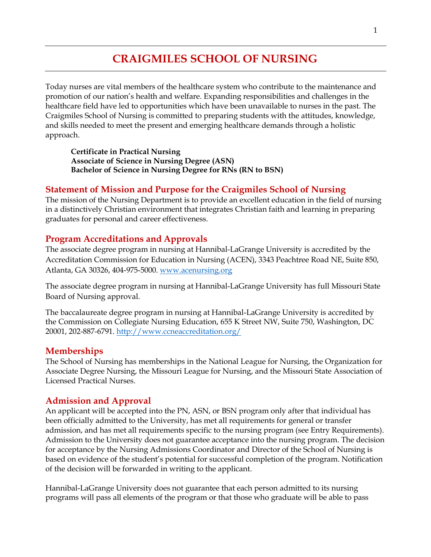# **CRAIGMILES SCHOOL OF NURSING**

Today nurses are vital members of the healthcare system who contribute to the maintenance and promotion of our nation's health and welfare. Expanding responsibilities and challenges in the healthcare field have led to opportunities which have been unavailable to nurses in the past. The Craigmiles School of Nursing is committed to preparing students with the attitudes, knowledge, and skills needed to meet the present and emerging healthcare demands through a holistic approach.

**Certificate in Practical Nursing Associate of Science in Nursing Degree (ASN) Bachelor of Science in Nursing Degree for RNs (RN to BSN)**

#### **Statement of Mission and Purpose for the Craigmiles School of Nursing**

The mission of the Nursing Department is to provide an excellent education in the field of nursing in a distinctively Christian environment that integrates Christian faith and learning in preparing graduates for personal and career effectiveness.

#### **Program Accreditations and Approvals**

The associate degree program in nursing at Hannibal-LaGrange University is accredited by the Accreditation Commission for Education in Nursing (ACEN), 3343 Peachtree Road NE, Suite 850, Atlanta, GA 30326, 404-975-5000. [www.acenursing.org](http://www.acenursing.org/)

The associate degree program in nursing at Hannibal-LaGrange University has full Missouri State Board of Nursing approval.

The baccalaureate degree program in nursing at Hannibal-LaGrange University is accredited by the Commission on Collegiate Nursing Education, 655 K Street NW, Suite 750, Washington, DC 20001, 202-887-6791.<http://www.ccneaccreditation.org/>

#### **Memberships**

The School of Nursing has memberships in the National League for Nursing, the Organization for Associate Degree Nursing, the Missouri League for Nursing, and the Missouri State Association of Licensed Practical Nurses.

#### **Admission and Approval**

An applicant will be accepted into the PN, ASN, or BSN program only after that individual has been officially admitted to the University, has met all requirements for general or transfer admission, and has met all requirements specific to the nursing program (see Entry Requirements). Admission to the University does not guarantee acceptance into the nursing program. The decision for acceptance by the Nursing Admissions Coordinator and Director of the School of Nursing is based on evidence of the student's potential for successful completion of the program. Notification of the decision will be forwarded in writing to the applicant.

Hannibal-LaGrange University does not guarantee that each person admitted to its nursing programs will pass all elements of the program or that those who graduate will be able to pass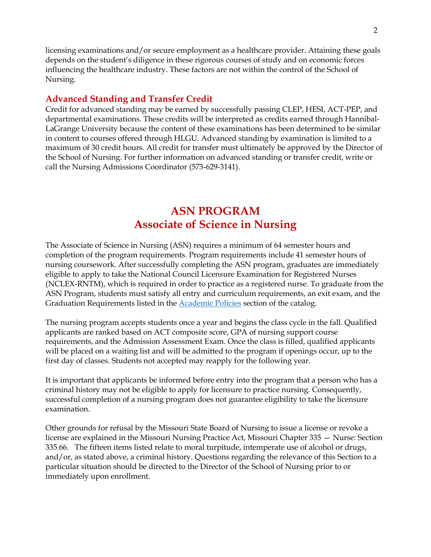licensing examinations and/or secure employment as a healthcare provider. Attaining these goals depends on the student's diligence in these rigorous courses of study and on economic forces influencing the healthcare industry. These factors are not within the control of the School of Nursing.

### **Advanced Standing and Transfer Credit**

Credit for advanced standing may be earned by successfully passing CLEP, HESI, ACT-PEP, and departmental examinations. These credits will be interpreted as credits earned through Hannibal-LaGrange University because the content of these examinations has been determined to be similar in content to courses offered through HLGU. Advanced standing by examination is limited to a maximum of 30 credit hours. All credit for transfer must ultimately be approved by the Director of the School of Nursing. For further information on advanced standing or transfer credit, write or call the Nursing Admissions Coordinator (573-629-3141).

# **ASN PROGRAM Associate of Science in Nursing**

The Associate of Science in Nursing (ASN) requires a minimum of 64 semester hours and completion of the program requirements. Program requirements include 41 semester hours of nursing coursework. After successfully completing the ASN program, graduates are immediately eligible to apply to take the National Council Licensure Examination for Registered Nurses (NCLEX-RNTM), which is required in order to practice as a registered nurse. To graduate from the ASN Program, students must satisfy all entry and curriculum requirements, an exit exam, and the Graduation Requirements listed in the Academic Policies section of the catalog.

The nursing program accepts students once a year and begins the class cycle in the fall. Qualified applicants are ranked based on ACT composite score, GPA of nursing support course requirements, and the Admission Assessment Exam. Once the class is filled, qualified applicants will be placed on a waiting list and will be admitted to the program if openings occur, up to the first day of classes. Students not accepted may reapply for the following year.

It is important that applicants be informed before entry into the program that a person who has a criminal history may not be eligible to apply for licensure to practice nursing. Consequently, successful completion of a nursing program does not guarantee eligibility to take the licensure examination.

Other grounds for refusal by the Missouri State Board of Nursing to issue a license or revoke a license are explained in the Missouri Nursing Practice Act, Missouri Chapter 335 — Nurse: Section 335.66. The fifteen items listed relate to moral turpitude, intemperate use of alcohol or drugs, and/or, as stated above, a criminal history. Questions regarding the relevance of this Section to a particular situation should be directed to the Director of the School of Nursing prior to or immediately upon enrollment.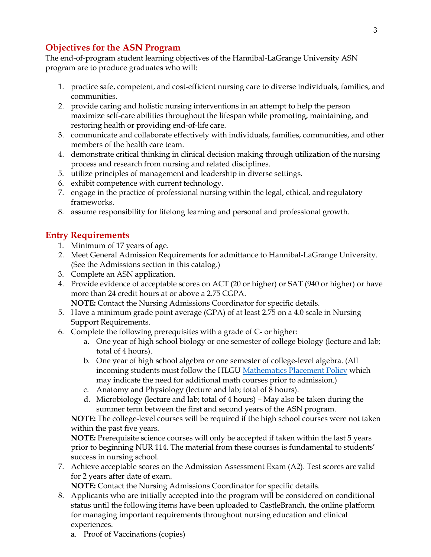# **Objectives for the ASN Program**

The end-of-program student learning objectives of the Hannibal-LaGrange University ASN program are to produce graduates who will:

- 1. practice safe, competent, and cost-efficient nursing care to diverse individuals, families, and communities.
- 2. provide caring and holistic nursing interventions in an attempt to help the person maximize self-care abilities throughout the lifespan while promoting, maintaining, and restoring health or providing end-of-life care.
- 3. communicate and collaborate effectively with individuals, families, communities, and other members of the health care team.
- 4. demonstrate critical thinking in clinical decision making through utilization of the nursing process and research from nursing and related disciplines.
- 5. utilize principles of management and leadership in diverse settings.
- 6. exhibit competence with current technology.
- 7. engage in the practice of professional nursing within the legal, ethical, andregulatory frameworks.
- 8. assume responsibility for lifelong learning and personal and professional growth.

## **Entry Requirements**

- 1. Minimum of 17 years of age.
- 2. Meet General Admission Requirements for admittance to Hannibal-LaGrange University. (See the Admissions section in this catalog.)
- 3. Complete an ASN application.
- 4. Provide evidence of acceptable scores on ACT (20 or higher) or SAT (940 or higher) or have more than 24 credit hours at or above a 2.75 CGPA.
- **NOTE:** Contact the Nursing Admissions Coordinator for specific details. 5. Have a minimum grade point average (GPA) of at least 2.75 on a 4.0 scale in Nursing
- Support Requirements.
- 6. Complete the following prerequisites with a grade of C- or higher:
	- a. One year of high school biology or one semester of college biology (lecture and lab; total of 4 hours).
	- b. One year of high school algebra or one semester of college-level algebra. (All incoming students must follow the HLGU Mathematics Placement Policy which may indicate the need for additional math courses prior to admission.)
	- c. Anatomy and Physiology (lecture and lab; total of 8 hours).
	- d. Microbiology (lecture and lab; total of 4 hours) May also be taken during the summer term between the first and second years of the ASN program.

**NOTE:** The college-level courses will be required if the high school courses were not taken within the past five years.

**NOTE:** Prerequisite science courses will only be accepted if taken within the last 5 years prior to beginning NUR 114. The material from these courses is fundamental to students' success in nursing school.

7. Achieve acceptable scores on the Admission Assessment Exam (A2). Test scores are valid for 2 years after date of exam.

**NOTE:** Contact the Nursing Admissions Coordinator for specific details.

- 8. Applicants who are initially accepted into the program will be considered on conditional status until the following items have been uploaded to CastleBranch, the online platform for managing important requirements throughout nursing education and clinical experiences.
	- a. Proof of Vaccinations (copies)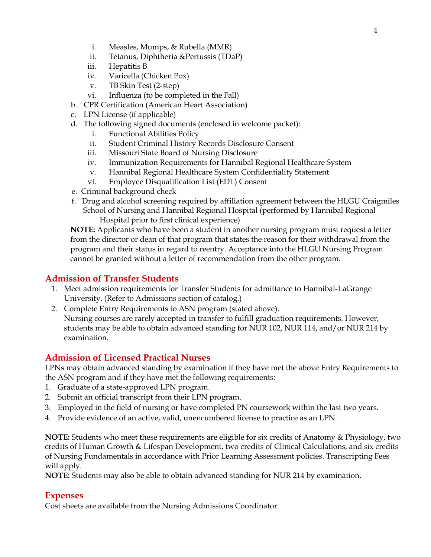- i. Measles, Mumps, & Rubella (MMR)
- ii. Tetanus, Diphtheria &Pertussis (TDaP)
- iii. Hepatitis B
- iv. Varicella (Chicken Pox)
- v. TB Skin Test (2-step)
- vi. Influenza (to be completed in the Fall)
- b. CPR Certification (American Heart Association)
- c. LPN License (if applicable)
- d. The following signed documents (enclosed in welcome packet):
	- i. Functional Abilities Policy
	- ii. Student Criminal History Records Disclosure Consent
	- iii. Missouri State Board of Nursing Disclosure
	- iv. Immunization Requirements for Hannibal Regional Healthcare System
	- v. Hannibal Regional Healthcare System Confidentiality Statement
	- vi. Employee Disqualification List (EDL) Consent
- e. Criminal background check
- f. Drug and alcohol screening required by affiliation agreement between the HLGU Craigmiles School of Nursing and Hannibal Regional Hospital (performed by Hannibal Regional Hospital prior to first clinical experience)

**NOTE:** Applicants who have been a student in another nursing program must request a letter from the director or dean of that program that states the reason for their withdrawal from the program and their status in regard to reentry. Acceptance into the HLGU Nursing Program cannot be granted without a letter of recommendation from the other program.

# **Admission of Transfer Students**

- 1. Meet admission requirements for Transfer Students for admittance to Hannibal-LaGrange University. (Refer to Admissions section of catalog.)
- 2. Complete Entry Requirements to ASN program (stated above). Nursing courses are rarely accepted in transfer to fulfill graduation requirements. However, students may be able to obtain advanced standing for NUR 102, NUR 114, and/or NUR 214 by examination.

# **Admission of Licensed Practical Nurses**

LPNs may obtain advanced standing by examination if they have met the above Entry Requirements to the ASN program and if they have met the following requirements:

- 1. Graduate of a state-approved LPN program.
- 2. Submit an official transcript from their LPN program.
- 3. Employed in the field of nursing or have completed PN coursework within the last two years.
- 4. Provide evidence of an active, valid, unencumbered license to practice as an LPN.

**NOTE:** Students who meet these requirements are eligible for six credits of Anatomy & Physiology, two credits of Human Growth & Lifespan Development, two credits of Clinical Calculations, and six credits of Nursing Fundamentals in accordance with Prior Learning Assessment policies. Transcripting Fees will apply.

**NOTE:** Students may also be able to obtain advanced standing for NUR 214 by examination.

## **Expenses**

Cost sheets are available from the Nursing Admissions Coordinator.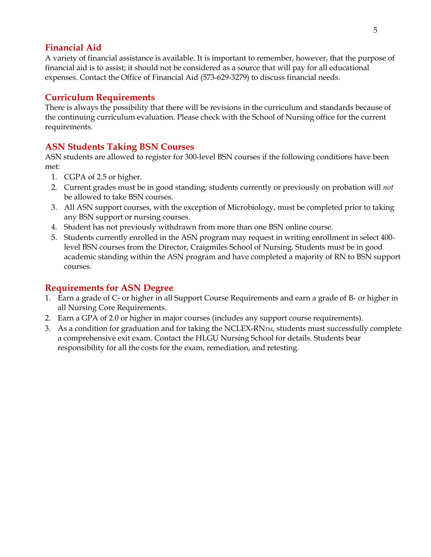### **Financial Aid**

A variety of financial assistance is available. It is important to remember, however, that the purpose of financial aid is to assist; it should not be considered as a source that will pay for all educational expenses. Contact the Office of Financial Aid (573-629-3279) to discuss financial needs.

# **Curriculum Requirements**

There is always the possibility that there will be revisions in the curriculum and standards because of the continuing curriculum evaluation. Please check with the School of Nursing office for the current requirements.

# **ASN Students Taking BSN Courses**

ASN students are allowed to register for 300-level BSN courses if the following conditions have been met:

- 1. CGPA of 2.5 or higher.
- 2. Current grades must be in good standing; students currently or previously on probation will *not*  be allowed to take BSN courses.
- 3. All ASN support courses, with the exception of Microbiology, must be completed prior to taking any BSN support or nursing courses.
- 4. Student has not previously withdrawn from more than one BSN online course.
- 5. Students currently enrolled in the ASN program may request in writing enrollment in select 400 level BSN courses from the Director, Craigmiles School of Nursing. Students must be in good academic standing within the ASN program and have completed a majority of RN to BSN support courses.

## **Requirements for ASN Degree**

- 1. Earn a grade of C- or higher in all Support Course Requirements and earn a grade of B- or higher in all Nursing Core Requirements.
- 2. Earn a GPA of 2.0 or higher in major courses (includes any support course requirements).
- 3. As a condition for graduation and for taking the NCLEX-RNTM, students must successfully complete a comprehensive exit exam. Contact the HLGU Nursing School for details. Students bear responsibility for all the costs for the exam, remediation, and retesting.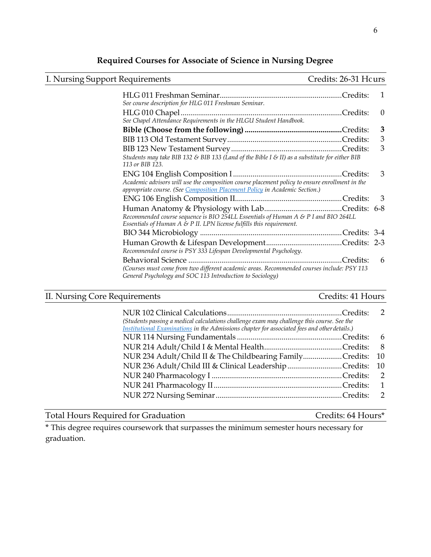# **Required Courses for Associate of Science in Nursing Degree**

| I. Nursing Support Requirements                                                                                                                                               | Credits: 26-31 Hcurs |                          |
|-------------------------------------------------------------------------------------------------------------------------------------------------------------------------------|----------------------|--------------------------|
| See course description for HLG 011 Freshman Seminar.                                                                                                                          |                      | 1                        |
| See Chapel Attendance Requirements in the HLGU Student Handbook.                                                                                                              |                      | $\theta$                 |
|                                                                                                                                                                               |                      | 3                        |
|                                                                                                                                                                               |                      | 3                        |
| Students may take BIB 132 & BIB 133 (Land of the Bible I & II) as a substitute for either BIB<br>113 or BIB 123.                                                              |                      | 3                        |
| Academic advisors will use the composition course placement policy to ensure enrollment in the<br>appropriate course. (See Composition Placement Policy in Academic Section.) |                      | 3                        |
|                                                                                                                                                                               |                      | $\overline{\phantom{a}}$ |
| Recommended course sequence is BIO 254LL Essentials of Human A & P I and BIO 264LL<br>Essentials of Human $A \& P$ II. LPN license fulfills this requirement.                 |                      |                          |
|                                                                                                                                                                               |                      |                          |
| Recommended course is PSY 333 Lifespan Developmental Psychology.                                                                                                              |                      |                          |
| (Courses must come from two different academic areas. Recommended courses include: PSY 113<br>General Psychology and SOC 113 Introduction to Sociology)                       |                      | 6                        |

# II. Nursing Core Requirements Credits: 41 Hours

| (Students passing a medical calculations challenge exam may challenge this course. See the<br>Institutional Examinations in the Admissions chapter for associated fees and other details.) |                |
|--------------------------------------------------------------------------------------------------------------------------------------------------------------------------------------------|----------------|
|                                                                                                                                                                                            |                |
|                                                                                                                                                                                            | - 8            |
| NUR 234 Adult/Child II & The Childbearing FamilyCredits:                                                                                                                                   | 10             |
| NUR 236 Adult/Child III & Clinical Leadership Credits: 10                                                                                                                                  |                |
|                                                                                                                                                                                            |                |
|                                                                                                                                                                                            | $\overline{1}$ |
|                                                                                                                                                                                            |                |

# Total Hours Required for Graduation Credits: 64 Hours\*

\* This degree requires coursework that surpasses the minimum semester hours necessary for graduation.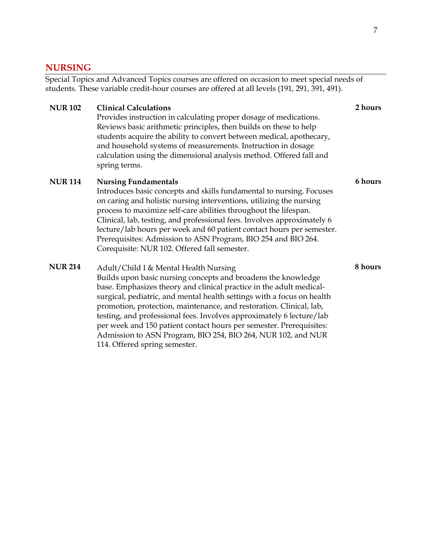#### **NURSING**

Special Topics and Advanced Topics courses are offered on occasion to meet special needs of students. These variable credit-hour courses are offered at all levels (191, 291, 391, 491).

#### **NUR 102 Clinical Calculations**

Provides instruction in calculating proper dosage of medications. Reviews basic arithmetic principles, then builds on these to help students acquire the ability to convert between medical, apothecary, and household systems of measurements. Instruction in dosage calculation using the dimensional analysis method. Offered fall and spring terms.

#### **NUR 114 Nursing Fundamentals**

Introduces basic concepts and skills fundamental to nursing. Focuses on caring and holistic nursing interventions, utilizing the nursing process to maximize self-care abilities throughout the lifespan. Clinical, lab, testing, and professional fees. Involves approximately 6 lecture/lab hours per week and 60 patient contact hours per semester. Prerequisites: Admission to ASN Program, BIO 254 and BIO 264. Corequisite: NUR 102. Offered fall semester.

#### Adult/Child I & Mental Health Nursing **NUR 214 8 hours**Builds upon basic nursing concepts and broadens the knowledge

base. Emphasizes theory and clinical practice in the adult medicalsurgical, pediatric, and mental health settings with a focus on health promotion, protection, maintenance, and restoration. Clinical, lab, testing, and professional fees. Involves approximately 6 lecture/lab per week and 150 patient contact hours per semester. Prerequisites: Admission to ASN Program, BIO 254, BIO 264, NUR 102, and NUR 114. Offered spring semester.

#### **2 hours**

**6 hours**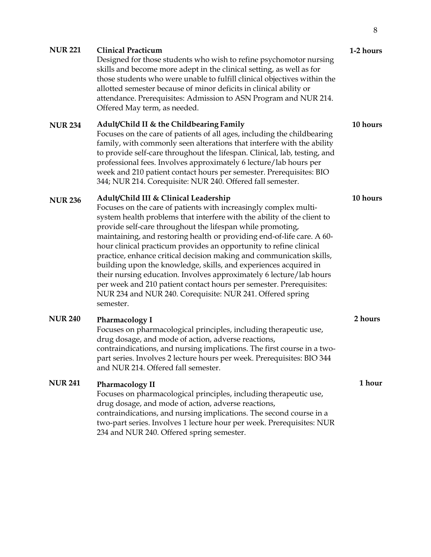| <b>NUR 221</b> | <b>Clinical Practicum</b><br>Designed for those students who wish to refine psychomotor nursing<br>skills and become more adept in the clinical setting, as well as for<br>those students who were unable to fulfill clinical objectives within the<br>allotted semester because of minor deficits in clinical ability or<br>attendance. Prerequisites: Admission to ASN Program and NUR 214.<br>Offered May term, as needed.                                                                                                                                                                                                                                                                                                                                          | 1-2 hours |
|----------------|------------------------------------------------------------------------------------------------------------------------------------------------------------------------------------------------------------------------------------------------------------------------------------------------------------------------------------------------------------------------------------------------------------------------------------------------------------------------------------------------------------------------------------------------------------------------------------------------------------------------------------------------------------------------------------------------------------------------------------------------------------------------|-----------|
| <b>NUR 234</b> | Adult/Child II & the Childbearing Family<br>Focuses on the care of patients of all ages, including the childbearing<br>family, with commonly seen alterations that interfere with the ability<br>to provide self-care throughout the lifespan. Clinical, lab, testing, and<br>professional fees. Involves approximately 6 lecture/lab hours per<br>week and 210 patient contact hours per semester. Prerequisites: BIO<br>344; NUR 214. Corequisite: NUR 240. Offered fall semester.                                                                                                                                                                                                                                                                                   | 10 hours  |
| <b>NUR 236</b> | Adult/Child III & Clinical Leadership<br>Focuses on the care of patients with increasingly complex multi-<br>system health problems that interfere with the ability of the client to<br>provide self-care throughout the lifespan while promoting,<br>maintaining, and restoring health or providing end-of-life care. A 60-<br>hour clinical practicum provides an opportunity to refine clinical<br>practice, enhance critical decision making and communication skills,<br>building upon the knowledge, skills, and experiences acquired in<br>their nursing education. Involves approximately 6 lecture/lab hours<br>per week and 210 patient contact hours per semester. Prerequisites:<br>NUR 234 and NUR 240. Corequisite: NUR 241. Offered spring<br>semester. | 10 hours  |
| <b>NUR 240</b> | <b>Pharmacology I</b><br>Focuses on pharmacological principles, including therapeutic use,<br>drug dosage, and mode of action, adverse reactions,<br>contraindications, and nursing implications. The first course in a two-<br>part series. Involves 2 lecture hours per week. Prerequisites: BIO 344                                                                                                                                                                                                                                                                                                                                                                                                                                                                 | 2 hours   |

#### **NUR 241 Pharmacology II**

and NUR 214. Offered fall semester.

Focuses on pharmacological principles, including therapeutic use, drug dosage, and mode of action, adverse reactions, contraindications, and nursing implications. The second course in a two-part series. Involves 1 lecture hour per week. Prerequisites: NUR 234 and NUR 240. Offered spring semester.

**1 hour**